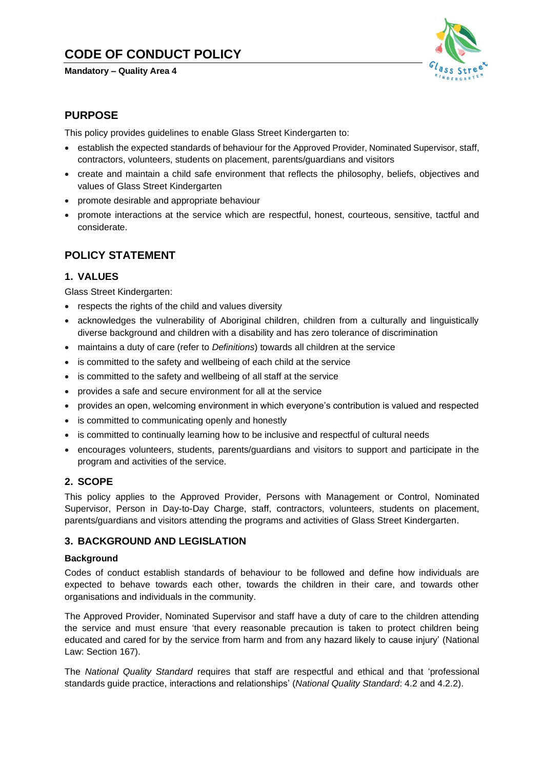# **CODE OF CONDUCT POLICY**

**Mandatory – Quality Area 4**



### **PURPOSE**

This policy provides guidelines to enable Glass Street Kindergarten to:

- establish the expected standards of behaviour for the Approved Provider, Nominated Supervisor, staff, contractors, volunteers, students on placement, parents/guardians and visitors
- create and maintain a child safe environment that reflects the philosophy, beliefs, objectives and values of Glass Street Kindergarten
- promote desirable and appropriate behaviour
- promote interactions at the service which are respectful, honest, courteous, sensitive, tactful and considerate.

# **POLICY STATEMENT**

### **1. VALUES**

Glass Street Kindergarten:

- respects the rights of the child and values diversity
- acknowledges the vulnerability of Aboriginal children, children from a culturally and linguistically diverse background and children with a disability and has zero tolerance of discrimination
- maintains a duty of care (refer to *Definitions*) towards all children at the service
- is committed to the safety and wellbeing of each child at the service
- is committed to the safety and wellbeing of all staff at the service
- provides a safe and secure environment for all at the service
- provides an open, welcoming environment in which everyone's contribution is valued and respected
- is committed to communicating openly and honestly
- is committed to continually learning how to be inclusive and respectful of cultural needs
- encourages volunteers, students, parents/guardians and visitors to support and participate in the program and activities of the service.

### **2. SCOPE**

This policy applies to the Approved Provider, Persons with Management or Control, Nominated Supervisor, Person in Day-to-Day Charge, staff, contractors, volunteers, students on placement, parents/guardians and visitors attending the programs and activities of Glass Street Kindergarten.

### **3. BACKGROUND AND LEGISLATION**

#### **Background**

Codes of conduct establish standards of behaviour to be followed and define how individuals are expected to behave towards each other, towards the children in their care, and towards other organisations and individuals in the community.

The Approved Provider, Nominated Supervisor and staff have a duty of care to the children attending the service and must ensure 'that every reasonable precaution is taken to protect children being educated and cared for by the service from harm and from any hazard likely to cause injury' (National Law: Section 167).

The *National Quality Standard* requires that staff are respectful and ethical and that 'professional standards guide practice, interactions and relationships' (*National Quality Standard*: 4.2 and 4.2.2).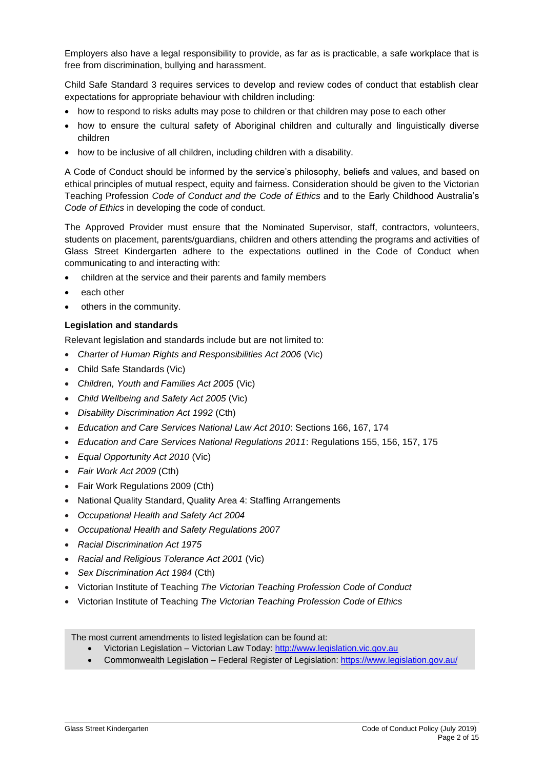Employers also have a legal responsibility to provide, as far as is practicable, a safe workplace that is free from discrimination, bullying and harassment.

Child Safe Standard 3 requires services to develop and review codes of conduct that establish clear expectations for appropriate behaviour with children including:

- how to respond to risks adults may pose to children or that children may pose to each other
- how to ensure the cultural safety of Aboriginal children and culturally and linguistically diverse children
- how to be inclusive of all children, including children with a disability.

A Code of Conduct should be informed by the service's philosophy, beliefs and values, and based on ethical principles of mutual respect, equity and fairness. Consideration should be given to the Victorian Teaching Profession *Code of Conduct and the Code of Ethics* and to the Early Childhood Australia's *Code of Ethics* in developing the code of conduct.

The Approved Provider must ensure that the Nominated Supervisor, staff, contractors, volunteers, students on placement, parents/guardians, children and others attending the programs and activities of Glass Street Kindergarten adhere to the expectations outlined in the Code of Conduct when communicating to and interacting with:

- children at the service and their parents and family members
- each other
- others in the community.

### **Legislation and standards**

Relevant legislation and standards include but are not limited to:

- *[Charter of Human Rights and Responsibilities Act 2006](http://www.legislation.vic.gov.au/Domino/Web_Notes/LDMS/PubStatbook.nsf/f932b66241ecf1b7ca256e92000e23be/54d73763ef9dca36ca2571b6002428b0!OpenDocument)* (Vic)
- Child Safe Standards (Vic)
- *Children, Youth and Families Act 2005* (Vic)
- *Child Wellbeing and Safety Act 2005* (Vic)
- *Disability Discrimination Act 1992* (Cth)
- *Education and Care Services National Law Act 2010*: Sections 166, 167, 174
- *Education and Care Services National Regulations 2011*: Regulations 155, 156, 157, 175
- *Equal Opportunity Act 2010* (Vic)
- *Fair Work Act 2009* (Cth)
- Fair Work Regulations 2009 (Cth)
- National Quality Standard, Quality Area 4: Staffing Arrangements
- *Occupational Health and Safety Act 2004*
- *Occupational Health and Safety Regulations 2007*
- *Racial Discrimination Act 1975*
- *[Racial and Religious Tolerance Act 2001](http://www.legislation.vic.gov.au/Domino/Web_Notes/LDMS/PubLawToday.nsf/a12f6f60fbd56800ca256de500201e54/ab66aeef028f70e7ca2576400082797c%21OpenDocument)* (Vic)
- *Sex Discrimination Act 1984* (Cth)
- Victorian Institute of Teaching *The Victorian Teaching Profession Code of Conduct*
- Victorian Institute of Teaching *The Victorian Teaching Profession Code of Ethics*

The most current amendments to listed legislation can be found at:

- Victorian Legislation Victorian Law Today: [http://www.legislation.vic.gov.au](http://www.legislation.vic.gov.au/)
- Commonwealth Legislation Federal Register of Legislation[: https://www.legislation.gov.au/](https://www.legislation.gov.au/)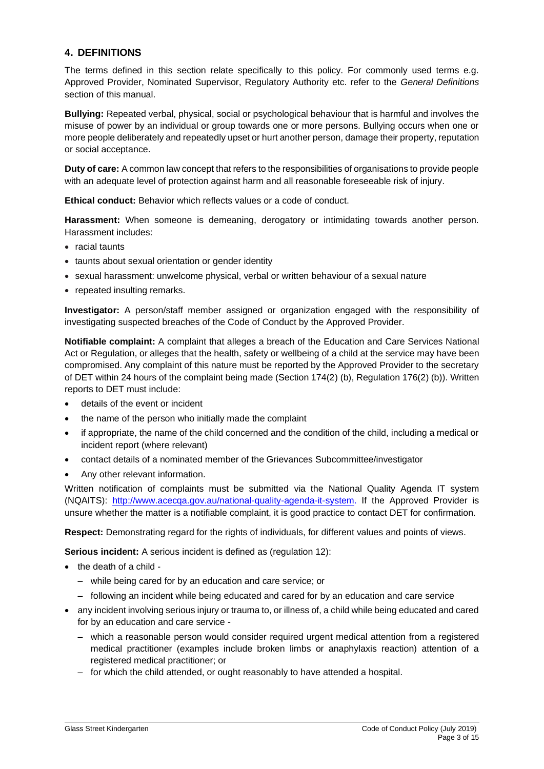### **4. DEFINITIONS**

The terms defined in this section relate specifically to this policy. For commonly used terms e.g. Approved Provider, Nominated Supervisor, Regulatory Authority etc. refer to the *General Definitions* section of this manual.

**Bullying:** Repeated verbal, physical, social or psychological behaviour that is harmful and involves the misuse of power by an individual or group towards one or more persons. Bullying occurs when one or more people deliberately and repeatedly upset or hurt another person, damage their property, reputation or social acceptance.

**Duty of care:** A common law concept that refers to the responsibilities of organisations to provide people with an adequate level of protection against harm and all reasonable foreseeable risk of injury.

**Ethical conduct:** Behavior which reflects values or a code of conduct.

**Harassment:** When someone is demeaning, derogatory or intimidating towards another person. Harassment includes:

- racial taunts
- taunts about sexual orientation or gender identity
- sexual harassment: unwelcome physical, verbal or written behaviour of a sexual nature
- repeated insulting remarks.

**Investigator:** A person/staff member assigned or organization engaged with the responsibility of investigating suspected breaches of the Code of Conduct by the Approved Provider.

**Notifiable complaint:** A complaint that alleges a breach of the Education and Care Services National Act or Regulation, or alleges that the health, safety or wellbeing of a child at the service may have been compromised. Any complaint of this nature must be reported by the Approved Provider to the secretary of DET within 24 hours of the complaint being made (Section 174(2) (b), Regulation 176(2) (b)). Written reports to DET must include:

- details of the event or incident
- the name of the person who initially made the complaint
- if appropriate, the name of the child concerned and the condition of the child, including a medical or incident report (where relevant)
- contact details of a nominated member of the Grievances Subcommittee/investigator
- Any other relevant information.

Written notification of complaints must be submitted via the National Quality Agenda IT system (NQAITS): [http://www.acecqa.gov.au/national-quality-agenda-it-system.](http://www.acecqa.gov.au/national-quality-agenda-it-system) If the Approved Provider is unsure whether the matter is a notifiable complaint, it is good practice to contact DET for confirmation.

**Respect:** Demonstrating regard for the rights of individuals, for different values and points of views.

**Serious incident:** A serious incident is defined as (regulation 12):

- the death of a child
	- while being cared for by an education and care service; or
	- following an incident while being educated and cared for by an education and care service
- any incident involving serious injury or trauma to, or illness of, a child while being educated and cared for by an education and care service -
	- which a reasonable person would consider required urgent medical attention from a registered medical practitioner (examples include broken limbs or anaphylaxis reaction) attention of a registered medical practitioner; or
	- for which the child attended, or ought reasonably to have attended a hospital.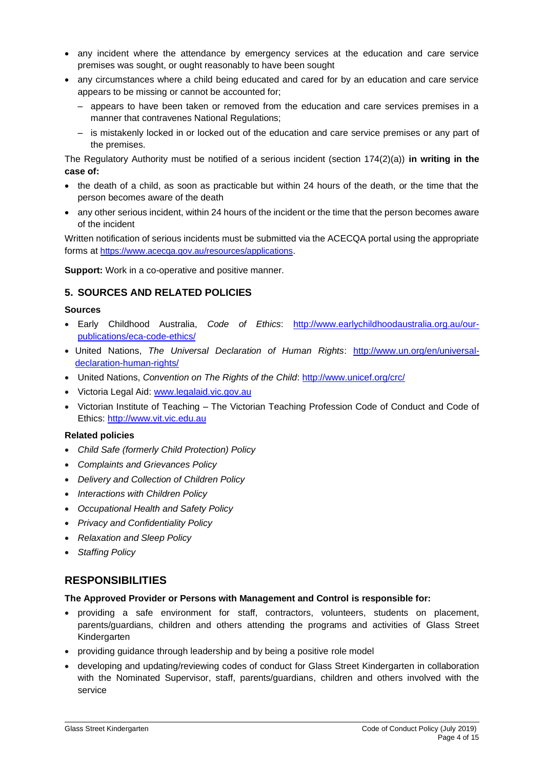- any incident where the attendance by emergency services at the education and care service premises was sought, or ought reasonably to have been sought
- any circumstances where a child being educated and cared for by an education and care service appears to be missing or cannot be accounted for;
	- appears to have been taken or removed from the education and care services premises in a manner that contravenes National Regulations;
	- is mistakenly locked in or locked out of the education and care service premises or any part of the premises.

The Regulatory Authority must be notified of a serious incident (section 174(2)(a)) **in writing in the case of:**

- the death of a child, as soon as practicable but within 24 hours of the death, or the time that the person becomes aware of the death
- any other serious incident, within 24 hours of the incident or the time that the person becomes aware of the incident

Written notification of serious incidents must be submitted via the ACECQA portal using the appropriate forms at <https://www.acecqa.gov.au/resources/applications>.

**Support:** Work in a co-operative and positive manner.

### **5. SOURCES AND RELATED POLICIES**

#### **Sources**

- Early Childhood Australia, *Code of Ethics*: [http://www.earlychildhoodaustralia.org.au/our](http://www.earlychildhoodaustralia.org.au/our-publications/eca-code-ethics/)[publications/eca-code-ethics/](http://www.earlychildhoodaustralia.org.au/our-publications/eca-code-ethics/)
- United Nations, *The Universal Declaration of Human Rights*: [http://www.un.org/en/universal](http://www.un.org/en/universal-declaration-human-rights/)[declaration-human-rights/](http://www.un.org/en/universal-declaration-human-rights/)
- United Nations, *Convention on The Rights of the Child*:<http://www.unicef.org/crc/>
- Victoria Legal Aid: [www.legalaid.vic.gov.au](http://www.legalaid.vic.gov.au/)
- Victorian Institute of Teaching The Victorian Teaching Profession Code of Conduct and Code of Ethics: [http://www.vit.vic.edu.au](http://www.vit.vic.edu.au/)

#### **Related policies**

- *Child Safe (formerly Child Protection) Policy*
- *Complaints and Grievances Policy*
- *Delivery and Collection of Children Policy*
- *Interactions with Children Policy*
- *Occupational Health and Safety Policy*
- *Privacy and Confidentiality Policy*
- *Relaxation and Sleep Policy*
- *Staffing Policy*

### **RESPONSIBILITIES**

#### **The Approved Provider or Persons with Management and Control is responsible for:**

- providing a safe environment for staff, contractors, volunteers, students on placement, parents/guardians, children and others attending the programs and activities of Glass Street Kindergarten
- providing guidance through leadership and by being a positive role model
- developing and updating/reviewing codes of conduct for Glass Street Kindergarten in collaboration with the Nominated Supervisor, staff, parents/guardians, children and others involved with the service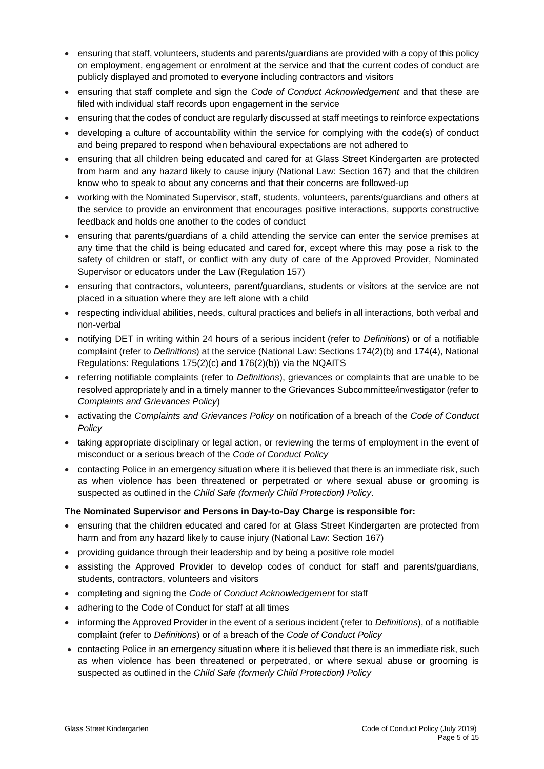- ensuring that staff, volunteers, students and parents/guardians are provided with a copy of this policy on employment, engagement or enrolment at the service and that the current codes of conduct are publicly displayed and promoted to everyone including contractors and visitors
- ensuring that staff complete and sign the *Code of Conduct Acknowledgement* and that these are filed with individual staff records upon engagement in the service
- ensuring that the codes of conduct are regularly discussed at staff meetings to reinforce expectations
- developing a culture of accountability within the service for complying with the code(s) of conduct and being prepared to respond when behavioural expectations are not adhered to
- ensuring that all children being educated and cared for at Glass Street Kindergarten are protected from harm and any hazard likely to cause injury (National Law: Section 167) and that the children know who to speak to about any concerns and that their concerns are followed-up
- working with the Nominated Supervisor, staff, students, volunteers, parents/guardians and others at the service to provide an environment that encourages positive interactions, supports constructive feedback and holds one another to the codes of conduct
- ensuring that parents/guardians of a child attending the service can enter the service premises at any time that the child is being educated and cared for, except where this may pose a risk to the safety of children or staff, or conflict with any duty of care of the Approved Provider, Nominated Supervisor or educators under the Law (Regulation 157)
- ensuring that contractors, volunteers, parent/guardians, students or visitors at the service are not placed in a situation where they are left alone with a child
- respecting individual abilities, needs, cultural practices and beliefs in all interactions, both verbal and non-verbal
- notifying DET in writing within 24 hours of a serious incident (refer to *Definitions*) or of a notifiable complaint (refer to *Definitions*) at the service (National Law: Sections 174(2)(b) and 174(4), National Regulations: Regulations 175(2)(c) and 176(2)(b)) via the NQAITS
- referring notifiable complaints (refer to *Definitions*), grievances or complaints that are unable to be resolved appropriately and in a timely manner to the Grievances Subcommittee/investigator (refer to *Complaints and Grievances Policy*)
- activating the *Complaints and Grievances Policy* on notification of a breach of the *Code of Conduct Policy*
- taking appropriate disciplinary or legal action, or reviewing the terms of employment in the event of misconduct or a serious breach of the *Code of Conduct Policy*
- contacting Police in an emergency situation where it is believed that there is an immediate risk, such as when violence has been threatened or perpetrated or where sexual abuse or grooming is suspected as outlined in the *Child Safe (formerly Child Protection) Policy*.

### **The Nominated Supervisor and Persons in Day-to-Day Charge is responsible for:**

- ensuring that the children educated and cared for at Glass Street Kindergarten are protected from harm and from any hazard likely to cause injury (National Law: Section 167)
- providing guidance through their leadership and by being a positive role model
- assisting the Approved Provider to develop codes of conduct for staff and parents/guardians, students, contractors, volunteers and visitors
- completing and signing the *Code of Conduct Acknowledgement* for staff
- adhering to the Code of Conduct for staff at all times
- informing the Approved Provider in the event of a serious incident (refer to *Definitions*), of a notifiable complaint (refer to *Definitions*) or of a breach of the *Code of Conduct Policy*
- contacting Police in an emergency situation where it is believed that there is an immediate risk, such as when violence has been threatened or perpetrated, or where sexual abuse or grooming is suspected as outlined in the *Child Safe (formerly Child Protection) Policy*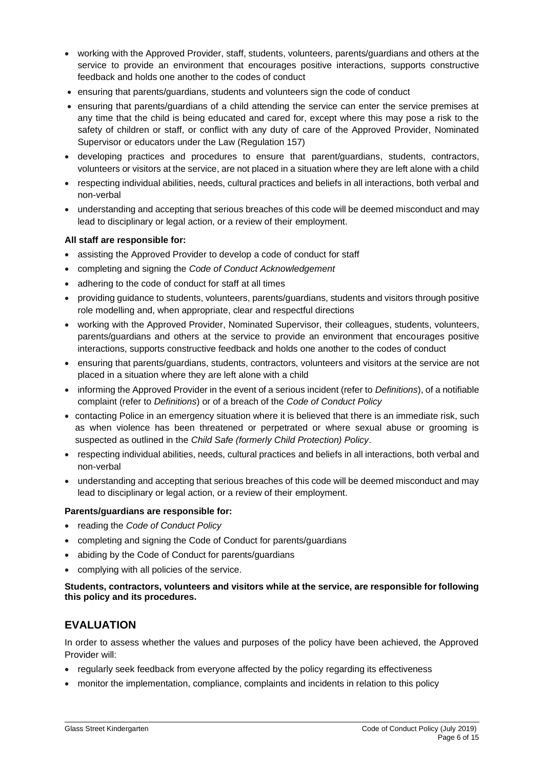- working with the Approved Provider, staff, students, volunteers, parents/guardians and others at the service to provide an environment that encourages positive interactions, supports constructive feedback and holds one another to the codes of conduct
- ensuring that parents/guardians, students and volunteers sign the code of conduct
- ensuring that parents/guardians of a child attending the service can enter the service premises at any time that the child is being educated and cared for, except where this may pose a risk to the safety of children or staff, or conflict with any duty of care of the Approved Provider, Nominated Supervisor or educators under the Law (Regulation 157)
- developing practices and procedures to ensure that parent/guardians, students, contractors, volunteers or visitors at the service, are not placed in a situation where they are left alone with a child
- respecting individual abilities, needs, cultural practices and beliefs in all interactions, both verbal and non-verbal
- understanding and accepting that serious breaches of this code will be deemed misconduct and may lead to disciplinary or legal action, or a review of their employment.

### **All staff are responsible for:**

- assisting the Approved Provider to develop a code of conduct for staff
- completing and signing the *Code of Conduct Acknowledgement*
- adhering to the code of conduct for staff at all times
- providing guidance to students, volunteers, parents/guardians, students and visitors through positive role modelling and, when appropriate, clear and respectful directions
- working with the Approved Provider, Nominated Supervisor, their colleagues, students, volunteers, parents/guardians and others at the service to provide an environment that encourages positive interactions, supports constructive feedback and holds one another to the codes of conduct
- ensuring that parents/guardians, students, contractors, volunteers and visitors at the service are not placed in a situation where they are left alone with a child
- informing the Approved Provider in the event of a serious incident (refer to *Definitions*), of a notifiable complaint (refer to *Definitions*) or of a breach of the *Code of Conduct Policy*
- contacting Police in an emergency situation where it is believed that there is an immediate risk, such as when violence has been threatened or perpetrated or where sexual abuse or grooming is suspected as outlined in the *Child Safe (formerly Child Protection) Policy*.
- respecting individual abilities, needs, cultural practices and beliefs in all interactions, both verbal and non-verbal
- understanding and accepting that serious breaches of this code will be deemed misconduct and may lead to disciplinary or legal action, or a review of their employment.

#### **Parents/guardians are responsible for:**

- reading the *Code of Conduct Policy*
- completing and signing the Code of Conduct for parents/guardians
- abiding by the Code of Conduct for parents/guardians
- complying with all policies of the service.

**Students, contractors, volunteers and visitors while at the service, are responsible for following this policy and its procedures.**

### **EVALUATION**

In order to assess whether the values and purposes of the policy have been achieved, the Approved Provider will:

- regularly seek feedback from everyone affected by the policy regarding its effectiveness
- monitor the implementation, compliance, complaints and incidents in relation to this policy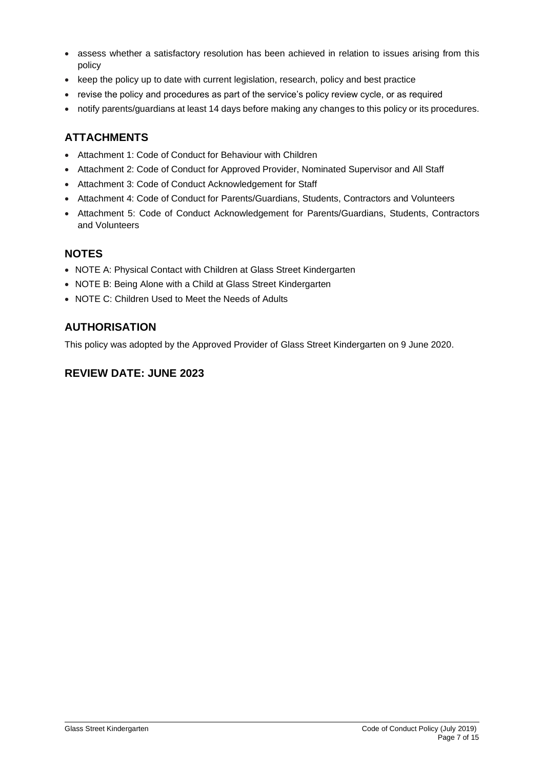- assess whether a satisfactory resolution has been achieved in relation to issues arising from this policy
- keep the policy up to date with current legislation, research, policy and best practice
- revise the policy and procedures as part of the service's policy review cycle, or as required
- notify parents/guardians at least 14 days before making any changes to this policy or its procedures.

# **ATTACHMENTS**

- Attachment 1: Code of Conduct for Behaviour with Children
- Attachment 2: Code of Conduct for Approved Provider, Nominated Supervisor and All Staff
- Attachment 3: Code of Conduct Acknowledgement for Staff
- Attachment 4: Code of Conduct for Parents/Guardians, Students, Contractors and Volunteers
- Attachment 5: Code of Conduct Acknowledgement for Parents/Guardians, Students, Contractors and Volunteers

### **NOTES**

- NOTE A: Physical Contact with Children at Glass Street Kindergarten
- NOTE B: Being Alone with a Child at Glass Street Kindergarten
- NOTE C: Children Used to Meet the Needs of Adults

### **AUTHORISATION**

This policy was adopted by the Approved Provider of Glass Street Kindergarten on 9 June 2020.

### **REVIEW DATE: JUNE 2023**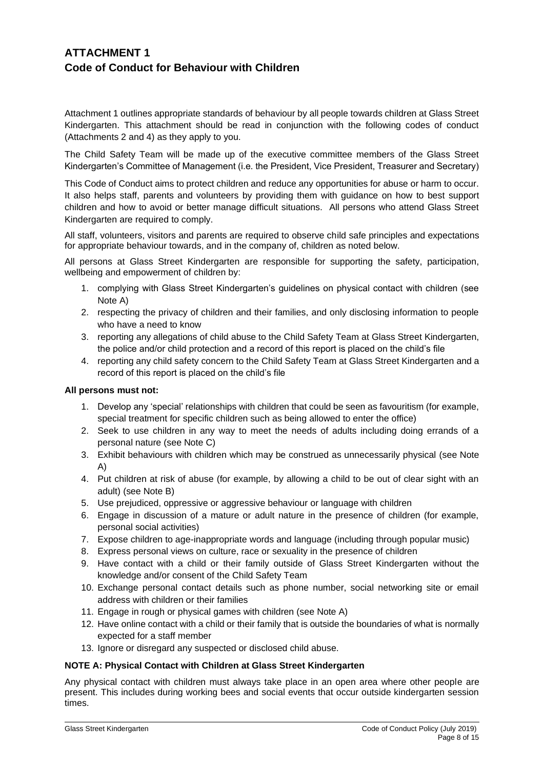# **ATTACHMENT 1 Code of Conduct for Behaviour with Children**

Attachment 1 outlines appropriate standards of behaviour by all people towards children at Glass Street Kindergarten. This attachment should be read in conjunction with the following codes of conduct (Attachments 2 and 4) as they apply to you.

The Child Safety Team will be made up of the executive committee members of the Glass Street Kindergarten's Committee of Management (i.e. the President, Vice President, Treasurer and Secretary)

This Code of Conduct aims to protect children and reduce any opportunities for abuse or harm to occur. It also helps staff, parents and volunteers by providing them with guidance on how to best support children and how to avoid or better manage difficult situations. All persons who attend Glass Street Kindergarten are required to comply.

All staff, volunteers, visitors and parents are required to observe child safe principles and expectations for appropriate behaviour towards, and in the company of, children as noted below.

All persons at Glass Street Kindergarten are responsible for supporting the safety, participation, wellbeing and empowerment of children by:

- 1. complying with Glass Street Kindergarten's guidelines on physical contact with children (see Note A)
- 2. respecting the privacy of children and their families, and only disclosing information to people who have a need to know
- 3. reporting any allegations of child abuse to the Child Safety Team at Glass Street Kindergarten, the police and/or child protection and a record of this report is placed on the child's file
- 4. reporting any child safety concern to the Child Safety Team at Glass Street Kindergarten and a record of this report is placed on the child's file

#### **All persons must not:**

- 1. Develop any 'special' relationships with children that could be seen as favouritism (for example, special treatment for specific children such as being allowed to enter the office)
- 2. Seek to use children in any way to meet the needs of adults including doing errands of a personal nature (see Note C)
- 3. Exhibit behaviours with children which may be construed as unnecessarily physical (see Note A)
- 4. Put children at risk of abuse (for example, by allowing a child to be out of clear sight with an adult) (see Note B)
- 5. Use prejudiced, oppressive or aggressive behaviour or language with children
- 6. Engage in discussion of a mature or adult nature in the presence of children (for example, personal social activities)
- 7. Expose children to age-inappropriate words and language (including through popular music)
- 8. Express personal views on culture, race or sexuality in the presence of children
- 9. Have contact with a child or their family outside of Glass Street Kindergarten without the knowledge and/or consent of the Child Safety Team
- 10. Exchange personal contact details such as phone number, social networking site or email address with children or their families
- 11. Engage in rough or physical games with children (see Note A)
- 12. Have online contact with a child or their family that is outside the boundaries of what is normally expected for a staff member
- 13. Ignore or disregard any suspected or disclosed child abuse.

#### **NOTE A: Physical Contact with Children at Glass Street Kindergarten**

Any physical contact with children must always take place in an open area where other people are present. This includes during working bees and social events that occur outside kindergarten session times.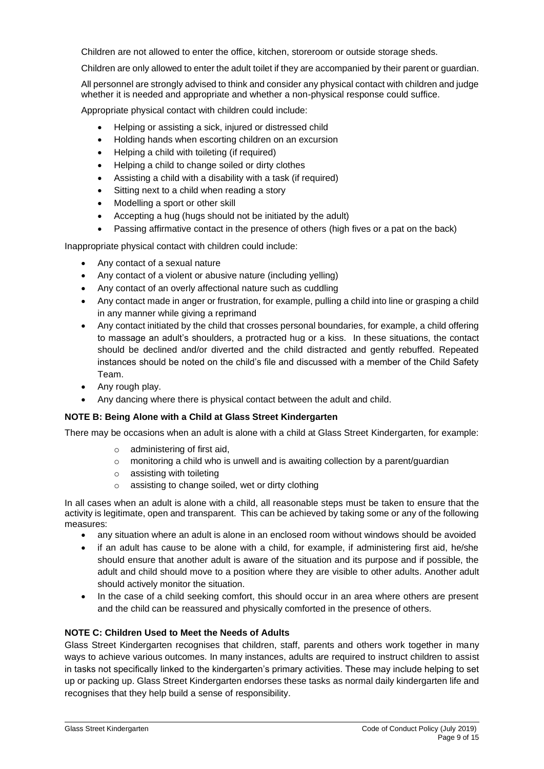Children are not allowed to enter the office, kitchen, storeroom or outside storage sheds.

Children are only allowed to enter the adult toilet if they are accompanied by their parent or guardian.

All personnel are strongly advised to think and consider any physical contact with children and judge whether it is needed and appropriate and whether a non-physical response could suffice.

Appropriate physical contact with children could include:

- Helping or assisting a sick, injured or distressed child
- Holding hands when escorting children on an excursion
- Helping a child with toileting (if required)
- Helping a child to change soiled or dirty clothes
- Assisting a child with a disability with a task (if required)
- Sitting next to a child when reading a story
- Modelling a sport or other skill
- Accepting a hug (hugs should not be initiated by the adult)
- Passing affirmative contact in the presence of others (high fives or a pat on the back)

Inappropriate physical contact with children could include:

- Any contact of a sexual nature
- Any contact of a violent or abusive nature (including yelling)
- Any contact of an overly affectional nature such as cuddling
- Any contact made in anger or frustration, for example, pulling a child into line or grasping a child in any manner while giving a reprimand
- Any contact initiated by the child that crosses personal boundaries, for example, a child offering to massage an adult's shoulders, a protracted hug or a kiss. In these situations, the contact should be declined and/or diverted and the child distracted and gently rebuffed. Repeated instances should be noted on the child's file and discussed with a member of the Child Safety Team.
- Any rough play.
- Any dancing where there is physical contact between the adult and child.

#### **NOTE B: Being Alone with a Child at Glass Street Kindergarten**

There may be occasions when an adult is alone with a child at Glass Street Kindergarten, for example:

- o administering of first aid,
- $\circ$  monitoring a child who is unwell and is awaiting collection by a parent/guardian
- o assisting with toileting
- o assisting to change soiled, wet or dirty clothing

In all cases when an adult is alone with a child, all reasonable steps must be taken to ensure that the activity is legitimate, open and transparent. This can be achieved by taking some or any of the following measures:

- any situation where an adult is alone in an enclosed room without windows should be avoided
- if an adult has cause to be alone with a child, for example, if administering first aid, he/she should ensure that another adult is aware of the situation and its purpose and if possible, the adult and child should move to a position where they are visible to other adults. Another adult should actively monitor the situation.
- In the case of a child seeking comfort, this should occur in an area where others are present and the child can be reassured and physically comforted in the presence of others.

#### **NOTE C: Children Used to Meet the Needs of Adults**

Glass Street Kindergarten recognises that children, staff, parents and others work together in many ways to achieve various outcomes. In many instances, adults are required to instruct children to assist in tasks not specifically linked to the kindergarten's primary activities. These may include helping to set up or packing up. Glass Street Kindergarten endorses these tasks as normal daily kindergarten life and recognises that they help build a sense of responsibility.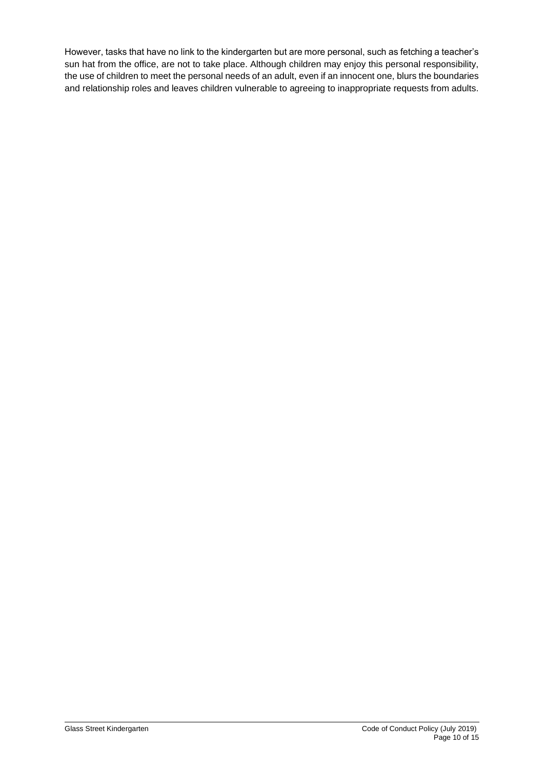However, tasks that have no link to the kindergarten but are more personal, such as fetching a teacher's sun hat from the office, are not to take place. Although children may enjoy this personal responsibility, the use of children to meet the personal needs of an adult, even if an innocent one, blurs the boundaries and relationship roles and leaves children vulnerable to agreeing to inappropriate requests from adults.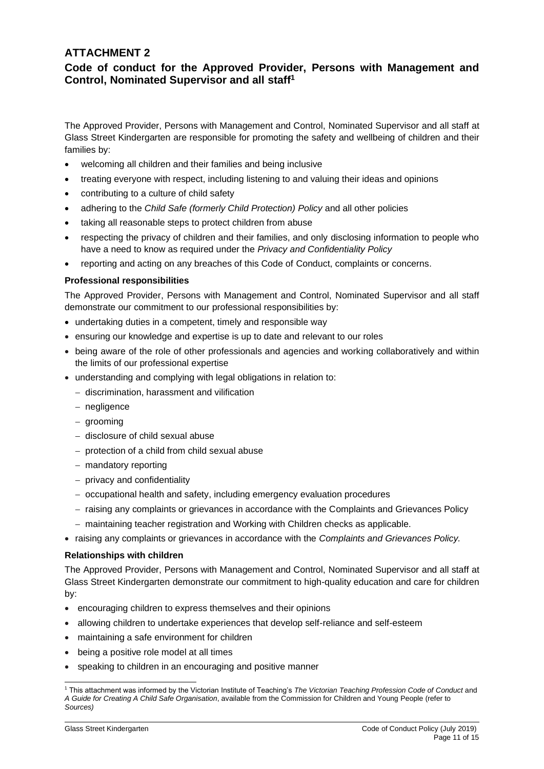# **ATTACHMENT 2**

# **Code of conduct for the Approved Provider, Persons with Management and Control, Nominated Supervisor and all staff<sup>1</sup>**

The Approved Provider, Persons with Management and Control, Nominated Supervisor and all staff at Glass Street Kindergarten are responsible for promoting the safety and wellbeing of children and their families by:

- welcoming all children and their families and being inclusive
- treating everyone with respect, including listening to and valuing their ideas and opinions
- contributing to a culture of child safety
- adhering to the *Child Safe (formerly Child Protection) Policy* and all other policies
- taking all reasonable steps to protect children from abuse
- respecting the privacy of children and their families, and only disclosing information to people who have a need to know as required under the *Privacy and Confidentiality Policy*
- reporting and acting on any breaches of this Code of Conduct, complaints or concerns.

#### **Professional responsibilities**

The Approved Provider, Persons with Management and Control, Nominated Supervisor and all staff demonstrate our commitment to our professional responsibilities by:

- undertaking duties in a competent, timely and responsible way
- ensuring our knowledge and expertise is up to date and relevant to our roles
- being aware of the role of other professionals and agencies and working collaboratively and within the limits of our professional expertise
- understanding and complying with legal obligations in relation to:
	- − discrimination, harassment and vilification
	- − negligence
	- − grooming
	- − disclosure of child sexual abuse
	- − protection of a child from child sexual abuse
	- − mandatory reporting
	- − privacy and confidentiality
	- − occupational health and safety, including emergency evaluation procedures
	- − raising any complaints or grievances in accordance with the Complaints and Grievances Policy
	- − maintaining teacher registration and Working with Children checks as applicable.
- raising any complaints or grievances in accordance with the *Complaints and Grievances Policy.*

#### **Relationships with children**

The Approved Provider, Persons with Management and Control, Nominated Supervisor and all staff at Glass Street Kindergarten demonstrate our commitment to high-quality education and care for children by:

- encouraging children to express themselves and their opinions
- allowing children to undertake experiences that develop self-reliance and self-esteem
- maintaining a safe environment for children
- being a positive role model at all times
- speaking to children in an encouraging and positive manner

<sup>1</sup> This attachment was informed by the Victorian Institute of Teaching's *The Victorian Teaching Profession Code of Conduct* and *A Guide for Creating A Child Safe Organisation*, available from the Commission for Children and Young People (refer to *Sources)*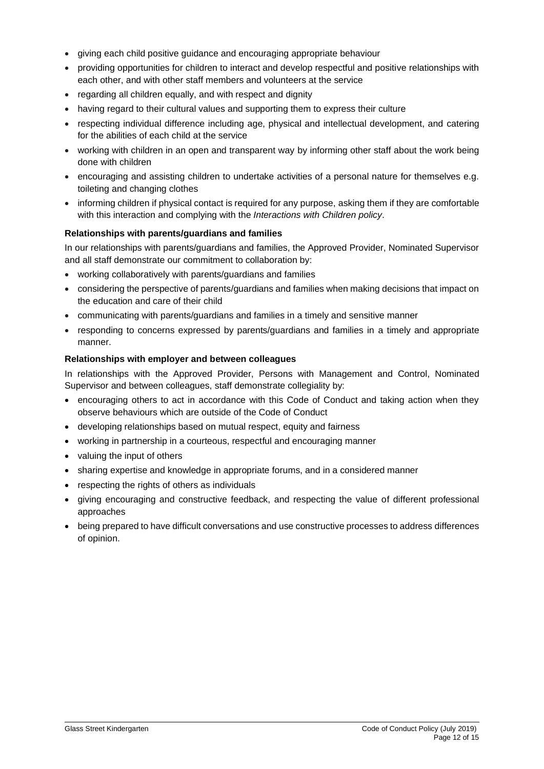- giving each child positive guidance and encouraging appropriate behaviour
- providing opportunities for children to interact and develop respectful and positive relationships with each other, and with other staff members and volunteers at the service
- regarding all children equally, and with respect and dignity
- having regard to their cultural values and supporting them to express their culture
- respecting individual difference including age, physical and intellectual development, and catering for the abilities of each child at the service
- working with children in an open and transparent way by informing other staff about the work being done with children
- encouraging and assisting children to undertake activities of a personal nature for themselves e.g. toileting and changing clothes
- informing children if physical contact is required for any purpose, asking them if they are comfortable with this interaction and complying with the *Interactions with Children policy*.

### **Relationships with parents/guardians and families**

In our relationships with parents/guardians and families, the Approved Provider, Nominated Supervisor and all staff demonstrate our commitment to collaboration by:

- working collaboratively with parents/guardians and families
- considering the perspective of parents/guardians and families when making decisions that impact on the education and care of their child
- communicating with parents/guardians and families in a timely and sensitive manner
- responding to concerns expressed by parents/guardians and families in a timely and appropriate manner.

### **Relationships with employer and between colleagues**

In relationships with the Approved Provider, Persons with Management and Control, Nominated Supervisor and between colleagues, staff demonstrate collegiality by:

- encouraging others to act in accordance with this Code of Conduct and taking action when they observe behaviours which are outside of the Code of Conduct
- developing relationships based on mutual respect, equity and fairness
- working in partnership in a courteous, respectful and encouraging manner
- valuing the input of others
- sharing expertise and knowledge in appropriate forums, and in a considered manner
- respecting the rights of others as individuals
- giving encouraging and constructive feedback, and respecting the value of different professional approaches
- being prepared to have difficult conversations and use constructive processes to address differences of opinion.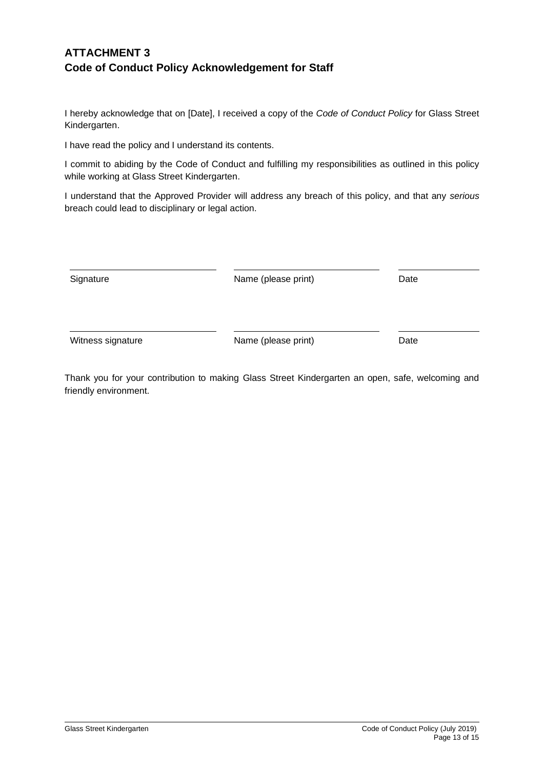# **ATTACHMENT 3 Code of Conduct Policy Acknowledgement for Staff**

I hereby acknowledge that on [Date], I received a copy of the *Code of Conduct Policy* for Glass Street Kindergarten.

I have read the policy and I understand its contents.

I commit to abiding by the Code of Conduct and fulfilling my responsibilities as outlined in this policy while working at Glass Street Kindergarten.

I understand that the Approved Provider will address any breach of this policy, and that any *serious* breach could lead to disciplinary or legal action.

| Signature         | Name (please print) | Date |
|-------------------|---------------------|------|
| Witness signature | Name (please print) | Date |

Thank you for your contribution to making Glass Street Kindergarten an open, safe, welcoming and friendly environment.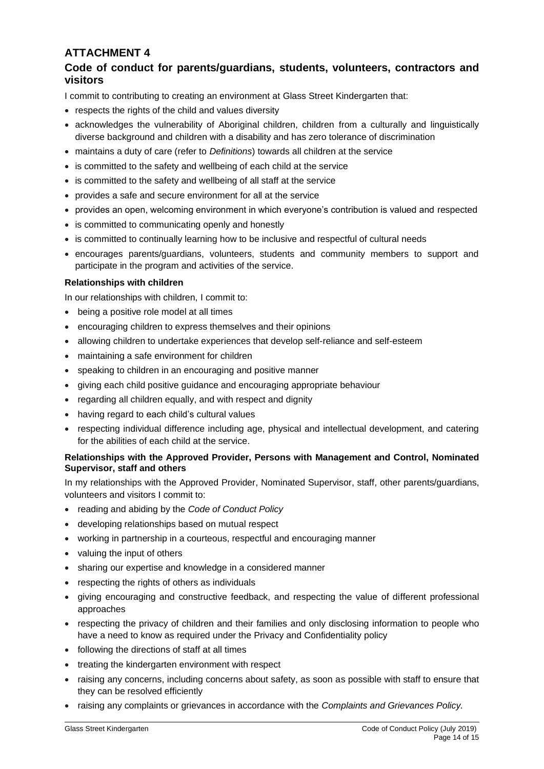# **ATTACHMENT 4**

# **Code of conduct for parents/guardians, students, volunteers, contractors and visitors**

I commit to contributing to creating an environment at Glass Street Kindergarten that:

- respects the rights of the child and values diversity
- acknowledges the vulnerability of Aboriginal children, children from a culturally and linguistically diverse background and children with a disability and has zero tolerance of discrimination
- maintains a duty of care (refer to *Definitions*) towards all children at the service
- is committed to the safety and wellbeing of each child at the service
- is committed to the safety and wellbeing of all staff at the service
- provides a safe and secure environment for all at the service
- provides an open, welcoming environment in which everyone's contribution is valued and respected
- is committed to communicating openly and honestly
- is committed to continually learning how to be inclusive and respectful of cultural needs
- encourages parents/guardians, volunteers, students and community members to support and participate in the program and activities of the service.

#### **Relationships with children**

In our relationships with children, I commit to:

- being a positive role model at all times
- encouraging children to express themselves and their opinions
- allowing children to undertake experiences that develop self-reliance and self-esteem
- maintaining a safe environment for children
- speaking to children in an encouraging and positive manner
- giving each child positive guidance and encouraging appropriate behaviour
- regarding all children equally, and with respect and dignity
- having regard to each child's cultural values
- respecting individual difference including age, physical and intellectual development, and catering for the abilities of each child at the service.

### **Relationships with the Approved Provider, Persons with Management and Control, Nominated Supervisor, staff and others**

In my relationships with the Approved Provider, Nominated Supervisor, staff, other parents/guardians, volunteers and visitors I commit to:

- reading and abiding by the *Code of Conduct Policy*
- developing relationships based on mutual respect
- working in partnership in a courteous, respectful and encouraging manner
- valuing the input of others
- sharing our expertise and knowledge in a considered manner
- respecting the rights of others as individuals
- giving encouraging and constructive feedback, and respecting the value of different professional approaches
- respecting the privacy of children and their families and only disclosing information to people who have a need to know as required under the Privacy and Confidentiality policy
- following the directions of staff at all times
- treating the kindergarten environment with respect
- raising any concerns, including concerns about safety, as soon as possible with staff to ensure that they can be resolved efficiently
- raising any complaints or grievances in accordance with the *Complaints and Grievances Policy.*